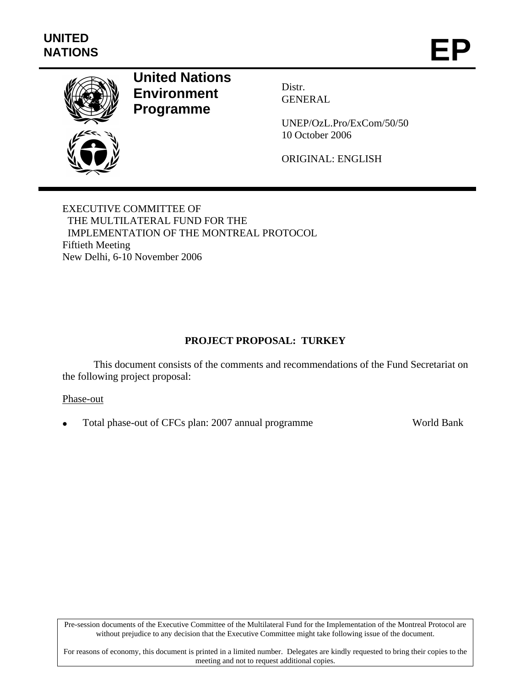

# **United Nations Environment Programme**

Distr. GENERAL

UNEP/OzL.Pro/ExCom/50/50 10 October 2006

ORIGINAL: ENGLISH

EXECUTIVE COMMITTEE OF THE MULTILATERAL FUND FOR THE IMPLEMENTATION OF THE MONTREAL PROTOCOL Fiftieth Meeting New Delhi, 6-10 November 2006

# **PROJECT PROPOSAL: TURKEY**

This document consists of the comments and recommendations of the Fund Secretariat on the following project proposal:

#### Phase-out

• Total phase-out of CFCs plan: 2007 annual programme World Bank

Pre-session documents of the Executive Committee of the Multilateral Fund for the Implementation of the Montreal Protocol are without prejudice to any decision that the Executive Committee might take following issue of the document.

For reasons of economy, this document is printed in a limited number. Delegates are kindly requested to bring their copies to the meeting and not to request additional copies.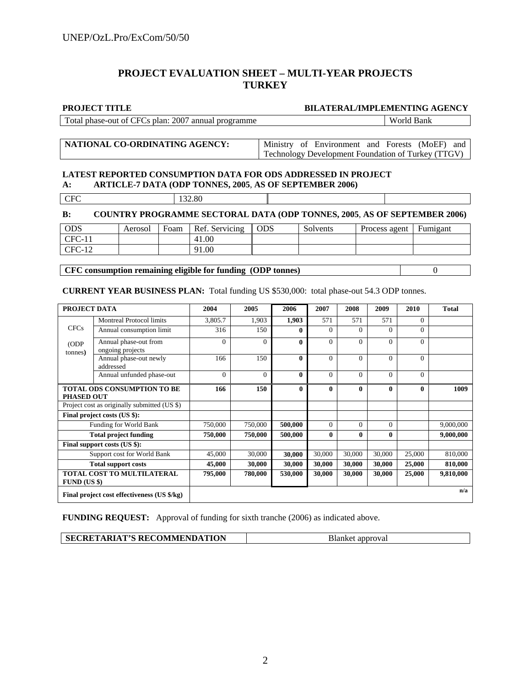## **PROJECT EVALUATION SHEET – MULTI-YEAR PROJECTS TURKEY**

#### **PROJECT TITLE BILATERAL/IMPLEMENTING AGENCY**

| Total phase-out of CFCs plan: 2007 annual programme |                                                    |  |                                                |  | World Bank |  |  |
|-----------------------------------------------------|----------------------------------------------------|--|------------------------------------------------|--|------------|--|--|
|                                                     |                                                    |  |                                                |  |            |  |  |
| NATIONAL CO-ORDINATING AGENCY:                      |                                                    |  | Ministry of Environment and Forests (MoEF) and |  |            |  |  |
|                                                     | Technology Development Foundation of Turkey (TTGV) |  |                                                |  |            |  |  |

#### **LATEST REPORTED CONSUMPTION DATA FOR ODS ADDRESSED IN PROJECT A: ARTICLE-7 DATA (ODP TONNES, 2005**, **AS OF SEPTEMBER 2006)**

| $\mathop{{\rm TFC}}$<br>I | 32.80 |
|---------------------------|-------|

| $\bf B$ :  |         | <b>COUNTRY PROGRAMME SECTORAL DATA (ODP TONNES, 2005, AS OF SEPTEMBER 2006)</b> |       |          |                          |  |
|------------|---------|---------------------------------------------------------------------------------|-------|----------|--------------------------|--|
| <b>ODS</b> | Aerosol | Foam   Ref. Servicing                                                           | l ODS | Solvents | Process agent   Fumigant |  |
| $CFC-11$   |         | 41.00                                                                           |       |          |                          |  |
| $CFC-12$   |         | 91.00                                                                           |       |          |                          |  |

**CFC consumption remaining eligible for funding (ODP tonnes)** 0

**CURRENT YEAR BUSINESS PLAN:** Total funding US \$530,000: total phase-out 54.3 ODP tonnes.

| PROJECT DATA                                 |                                              | 2004     | 2005     | 2006         | 2007           | 2008         | 2009         | 2010           | <b>Total</b> |
|----------------------------------------------|----------------------------------------------|----------|----------|--------------|----------------|--------------|--------------|----------------|--------------|
|                                              | <b>Montreal Protocol limits</b>              | 3,805.7  | 1,903    | 1,903        | 571            | 571          | 571          | $\Omega$       |              |
| <b>CFCs</b>                                  | Annual consumption limit                     | 316      | 150      | $\mathbf{0}$ | $\Omega$       | $\Omega$     | $\Omega$     | $\Omega$       |              |
| (ODP<br>tonnes)                              | Annual phase-out from<br>ongoing projects    | $\Omega$ | $\Omega$ | $\theta$     | $\Omega$       | $\Omega$     | $\Omega$     | $\Omega$       |              |
|                                              | Annual phase-out newly<br>addressed          | 166      | 150      | $\mathbf{0}$ | $\Omega$       | $\theta$     | $\Omega$     | $\Omega$       |              |
|                                              | Annual unfunded phase-out                    | $\Omega$ | $\Omega$ | $\mathbf{0}$ | $\mathbf{0}$   | $\theta$     | $\Omega$     | $\overline{0}$ |              |
| <b>PHASED OUT</b>                            | <b>TOTAL ODS CONSUMPTION TO BE</b>           | 166      | 150      | $\mathbf{0}$ | $\bf{0}$       | $\bf{0}$     | $\mathbf{0}$ | $\mathbf{0}$   | 1009         |
|                                              | Project cost as originally submitted (US \$) |          |          |              |                |              |              |                |              |
|                                              | Final project costs (US \$):                 |          |          |              |                |              |              |                |              |
|                                              | Funding for World Bank                       | 750,000  | 750,000  | 500,000      | $\overline{0}$ | $\Omega$     | $\Omega$     |                | 9,000,000    |
|                                              | <b>Total project funding</b>                 | 750,000  | 750,000  | 500,000      | 0              | $\mathbf{0}$ | $\bf{0}$     |                | 9,000,000    |
|                                              | Final support costs (US \$):                 |          |          |              |                |              |              |                |              |
| Support cost for World Bank                  |                                              | 45,000   | 30,000   | 30,000       | 30,000         | 30,000       | 30,000       | 25,000         | 810,000      |
| <b>Total support costs</b>                   |                                              | 45,000   | 30,000   | 30,000       | 30,000         | 30,000       | 30,000       | 25,000         | 810,000      |
| TOTAL COST TO MULTILATERAL<br>$FUND$ (US \$) |                                              | 795,000  | 780,000  | 530,000      | 30,000         | 30,000       | 30,000       | 25,000         | 9,810,000    |
|                                              | Final project cost effectiveness (US \$/kg)  |          |          |              |                |              |              |                | n/a          |

**FUNDING REQUEST:** Approval of funding for sixth tranche (2006) as indicated above.

| <b>SECRETARIAT'S RECOMMENDATION</b> | Blanket approval |
|-------------------------------------|------------------|
|                                     |                  |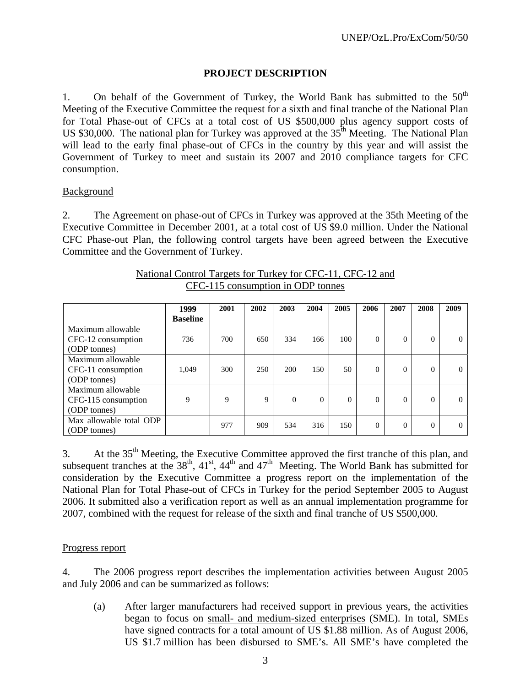### **PROJECT DESCRIPTION**

1. On behalf of the Government of Turkey, the World Bank has submitted to the  $50<sup>th</sup>$ Meeting of the Executive Committee the request for a sixth and final tranche of the National Plan for Total Phase-out of CFCs at a total cost of US \$500,000 plus agency support costs of US \$30,000. The national plan for Turkey was approved at the  $35<sup>th</sup>$  Meeting. The National Plan will lead to the early final phase-out of CFCs in the country by this year and will assist the Government of Turkey to meet and sustain its 2007 and 2010 compliance targets for CFC consumption.

#### **Background**

2. The Agreement on phase-out of CFCs in Turkey was approved at the 35th Meeting of the Executive Committee in December 2001, at a total cost of US \$9.0 million. Under the National CFC Phase-out Plan, the following control targets have been agreed between the Executive Committee and the Government of Turkey.

|                         | 1999            | 2001 | 2002 | 2003     | 2004     | 2005     | 2006     | 2007     | 2008     | 2009     |
|-------------------------|-----------------|------|------|----------|----------|----------|----------|----------|----------|----------|
|                         | <b>Baseline</b> |      |      |          |          |          |          |          |          |          |
| Maximum allowable       |                 |      |      |          |          |          |          |          |          |          |
| CFC-12 consumption      | 736             | 700  | 650  | 334      | 166      | 100      | $\theta$ | 0        | $\theta$ | $\Omega$ |
| (ODP tonnes)            |                 |      |      |          |          |          |          |          |          |          |
| Maximum allowable       |                 |      |      |          |          |          |          |          |          |          |
| CFC-11 consumption      | 1,049           | 300  | 250  | 200      | 150      | 50       | $\theta$ | 0        | $\theta$ | $\Omega$ |
| (ODP tonnes)            |                 |      |      |          |          |          |          |          |          |          |
| Maximum allowable       |                 |      |      |          |          |          |          |          |          |          |
| CFC-115 consumption     | 9               | 9    | 9    | $\Omega$ | $\Omega$ | $\Omega$ | $\Omega$ | 0        | $\theta$ | 0        |
| (ODP tonnes)            |                 |      |      |          |          |          |          |          |          |          |
| Max allowable total ODP |                 | 977  | 909  | 534      | 316      | 150      | $\theta$ | $\Omega$ | $\theta$ | 0        |
| (ODP tonnes)            |                 |      |      |          |          |          |          |          |          |          |

#### National Control Targets for Turkey for CFC-11, CFC-12 and CFC-115 consumption in ODP tonnes

3. At the 35<sup>th</sup> Meeting, the Executive Committee approved the first tranche of this plan, and subsequent tranches at the  $38<sup>th</sup>$ ,  $41<sup>st</sup>$ ,  $44<sup>th</sup>$  and  $47<sup>th</sup>$  Meeting. The World Bank has submitted for consideration by the Executive Committee a progress report on the implementation of the National Plan for Total Phase-out of CFCs in Turkey for the period September 2005 to August 2006. It submitted also a verification report as well as an annual implementation programme for 2007, combined with the request for release of the sixth and final tranche of US \$500,000.

#### Progress report

4. The 2006 progress report describes the implementation activities between August 2005 and July 2006 and can be summarized as follows:

(a) After larger manufacturers had received support in previous years, the activities began to focus on small- and medium-sized enterprises (SME). In total, SMEs have signed contracts for a total amount of US \$1.88 million. As of August 2006, US \$1.7 million has been disbursed to SME's. All SME's have completed the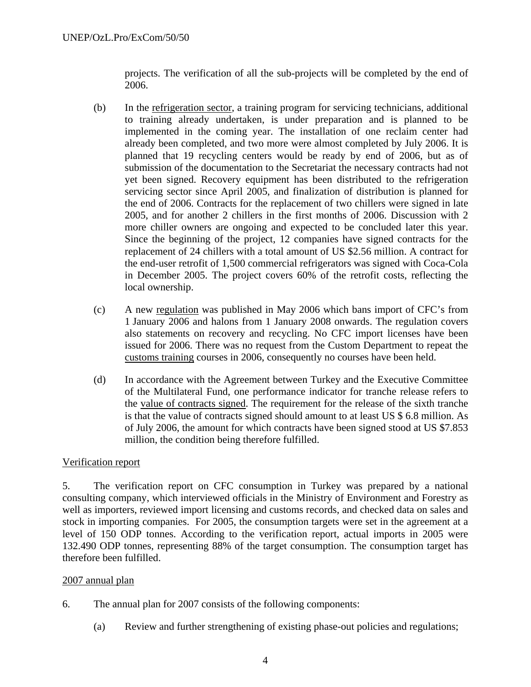projects. The verification of all the sub-projects will be completed by the end of 2006.

- (b) In the refrigeration sector, a training program for servicing technicians, additional to training already undertaken, is under preparation and is planned to be implemented in the coming year. The installation of one reclaim center had already been completed, and two more were almost completed by July 2006. It is planned that 19 recycling centers would be ready by end of 2006, but as of submission of the documentation to the Secretariat the necessary contracts had not yet been signed. Recovery equipment has been distributed to the refrigeration servicing sector since April 2005, and finalization of distribution is planned for the end of 2006. Contracts for the replacement of two chillers were signed in late 2005, and for another 2 chillers in the first months of 2006. Discussion with 2 more chiller owners are ongoing and expected to be concluded later this year. Since the beginning of the project, 12 companies have signed contracts for the replacement of 24 chillers with a total amount of US \$2.56 million. A contract for the end-user retrofit of 1,500 commercial refrigerators was signed with Coca-Cola in December 2005. The project covers 60% of the retrofit costs, reflecting the local ownership.
- (c) A new regulation was published in May 2006 which bans import of CFC's from 1 January 2006 and halons from 1 January 2008 onwards. The regulation covers also statements on recovery and recycling. No CFC import licenses have been issued for 2006. There was no request from the Custom Department to repeat the customs training courses in 2006, consequently no courses have been held.
- (d) In accordance with the Agreement between Turkey and the Executive Committee of the Multilateral Fund, one performance indicator for tranche release refers to the value of contracts signed. The requirement for the release of the sixth tranche is that the value of contracts signed should amount to at least US \$ 6.8 million. As of July 2006, the amount for which contracts have been signed stood at US \$7.853 million, the condition being therefore fulfilled.

#### Verification report

5. The verification report on CFC consumption in Turkey was prepared by a national consulting company, which interviewed officials in the Ministry of Environment and Forestry as well as importers, reviewed import licensing and customs records, and checked data on sales and stock in importing companies. For 2005, the consumption targets were set in the agreement at a level of 150 ODP tonnes. According to the verification report, actual imports in 2005 were 132.490 ODP tonnes, representing 88% of the target consumption. The consumption target has therefore been fulfilled.

#### 2007 annual plan

- 6. The annual plan for 2007 consists of the following components:
	- (a) Review and further strengthening of existing phase-out policies and regulations;